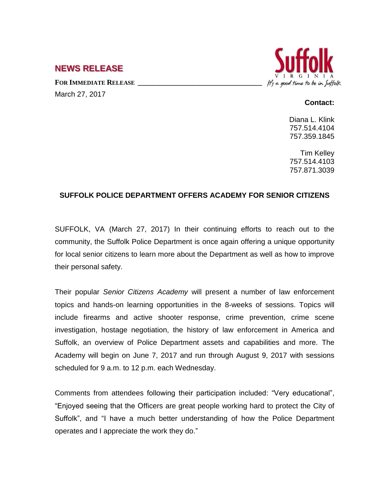## **NEWS RELEASE**

**FOR IMMEDIATE RELEASE \_\_\_\_\_\_\_\_\_\_\_\_\_\_\_\_\_\_\_\_\_\_\_\_\_\_\_\_\_\_\_\_\_\_** March 27, 2017



## **Contact:**

Diana L. Klink 757.514.4104 757.359.1845

Tim Kelley 757.514.4103 757.871.3039

## **SUFFOLK POLICE DEPARTMENT OFFERS ACADEMY FOR SENIOR CITIZENS**

SUFFOLK, VA (March 27, 2017) In their continuing efforts to reach out to the community, the Suffolk Police Department is once again offering a unique opportunity for local senior citizens to learn more about the Department as well as how to improve their personal safety.

Their popular *Senior Citizens Academy* will present a number of law enforcement topics and hands-on learning opportunities in the 8-weeks of sessions. Topics will include firearms and active shooter response, crime prevention, crime scene investigation, hostage negotiation, the history of law enforcement in America and Suffolk, an overview of Police Department assets and capabilities and more. The Academy will begin on June 7, 2017 and run through August 9, 2017 with sessions scheduled for 9 a.m. to 12 p.m. each Wednesday.

Comments from attendees following their participation included: "Very educational", "Enjoyed seeing that the Officers are great people working hard to protect the City of Suffolk", and "I have a much better understanding of how the Police Department operates and I appreciate the work they do."